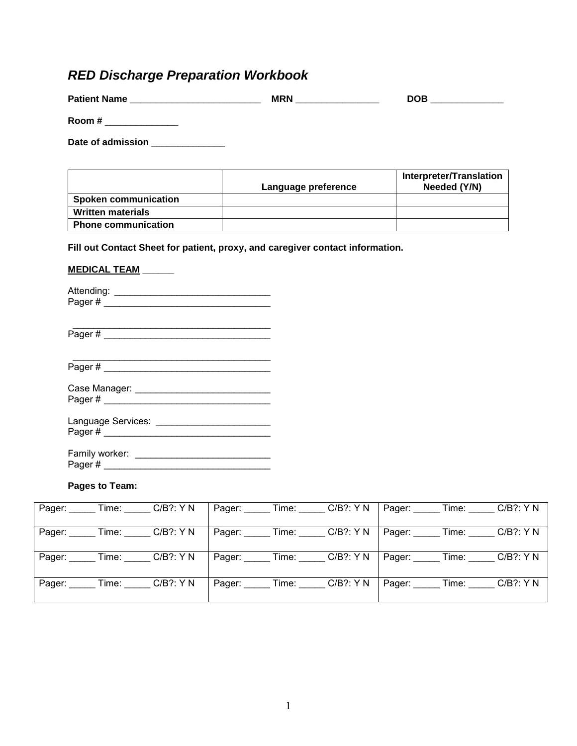# *RED Discharge Preparation Workbook*

| <b>Patient Name</b> | <b>MRN</b> | <b>DOB</b> |
|---------------------|------------|------------|
| Room #              |            |            |

Date of admission \_\_\_\_\_\_\_\_\_\_\_\_\_\_\_

|                             | Language preference | <b>Interpreter/Translation</b><br>Needed (Y/N) |
|-----------------------------|---------------------|------------------------------------------------|
| <b>Spoken communication</b> |                     |                                                |
| <b>Written materials</b>    |                     |                                                |
| <b>Phone communication</b>  |                     |                                                |

**Fill out Contact Sheet for patient, proxy, and caregiver contact information.** 

#### **MEDICAL TEAM \_\_\_\_\_\_**

Attending: \_\_\_\_\_\_\_\_\_\_\_\_\_\_\_\_\_\_\_\_\_\_\_\_\_\_\_\_\_\_ Pager # \_\_\_\_\_\_\_\_\_\_\_\_\_\_\_\_\_\_\_\_\_\_\_\_\_\_\_\_\_\_\_\_

\_\_\_\_\_\_\_\_\_\_\_\_\_\_\_\_\_\_\_\_\_\_\_\_\_\_\_\_\_\_\_\_\_\_\_\_\_\_ Pager # \_\_\_\_\_\_\_\_\_\_\_\_\_\_\_\_\_\_\_\_\_\_\_\_\_\_\_\_\_\_\_\_

\_\_\_\_\_\_\_\_\_\_\_\_\_\_\_\_\_\_\_\_\_\_\_\_\_\_\_\_\_\_\_\_\_\_\_\_\_\_ Pager # \_\_\_\_\_\_\_\_\_\_\_\_\_\_\_\_\_\_\_\_\_\_\_\_\_\_\_\_\_\_\_\_

Case Manager: \_\_\_\_\_\_\_\_\_\_\_\_\_\_\_\_\_\_\_\_\_\_\_\_\_\_ Pager # \_\_\_\_\_\_\_\_\_\_\_\_\_\_\_\_\_\_\_\_\_\_\_\_\_\_\_\_\_\_\_\_

| Language Services: |  |
|--------------------|--|
| Pager#             |  |

| Family worker: |  |
|----------------|--|
| Pager#         |  |

#### **Pages to Team:**

| Pager:         |       | Time: $C/B$ ?: Y N |        | Pager: ______ Time: _____ | $C/B$ ?: Y N                        | Pager:       | Time: Time   | $C/B$ ?: Y N |
|----------------|-------|--------------------|--------|---------------------------|-------------------------------------|--------------|--------------|--------------|
| Pager: _______ |       | Time: C/B?: Y N    |        |                           | Pager: ______ Time: _____ C/B?: Y N | Pager: Time: |              | $C/B$ ?: Y N |
| Pager:         |       | Time: C/B?: Y N    |        | Pager: Time:              | $C/B$ ?: Y N                        | Pager:       | Time:        | $C/B$ ?: Y N |
| Pager:         | Time: | $C/B$ ?: Y N       | Pager: | $Time:$ $\_\_$ '          | $C/B$ ?: Y N                        | Pager:       | $Time:$ $\_$ | $C/B$ ?: Y N |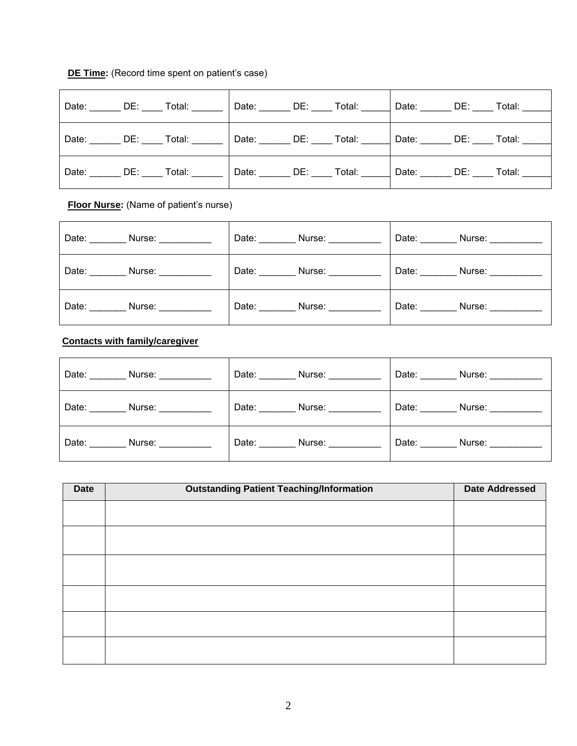### **DE Time:** (Record time spent on patient's case)

|  | Date: DE: Total: |                  | Date: DE: Total: | Date: DE: Total: |  |
|--|------------------|------------------|------------------|------------------|--|
|  | Date: DE: Total: |                  |                  |                  |  |
|  | Date: DE: Total: | Date: DE: Total: |                  | Date: DE: Total: |  |

**Floor Nurse:** (Name of patient's nurse)

| Date: <b>Date</b><br>Nurse: _________ | Date:<br>Nurse: 1988 | Date: $\_\_$<br>Nurse: ___________ |
|---------------------------------------|----------------------|------------------------------------|
| Date: Nurse:                          | Date: Nurse:         | Date: Nurse:                       |
| Date: Nurse:                          | Date: Nurse:         | Date: $\_\_$<br>Nurse: _________   |

## **Contacts with family/caregiver**

| Date: Nurse: | Date: Nurse: | Date: Nurse: |
|--------------|--------------|--------------|
| Date: Nurse: | Date: Nurse: | Date: Nurse: |
| Date: Nurse: | Date: Nurse: | Date: Nurse: |

| Date | <b>Outstanding Patient Teaching/Information</b> | <b>Date Addressed</b> |
|------|-------------------------------------------------|-----------------------|
|      |                                                 |                       |
|      |                                                 |                       |
|      |                                                 |                       |
|      |                                                 |                       |
|      |                                                 |                       |
|      |                                                 |                       |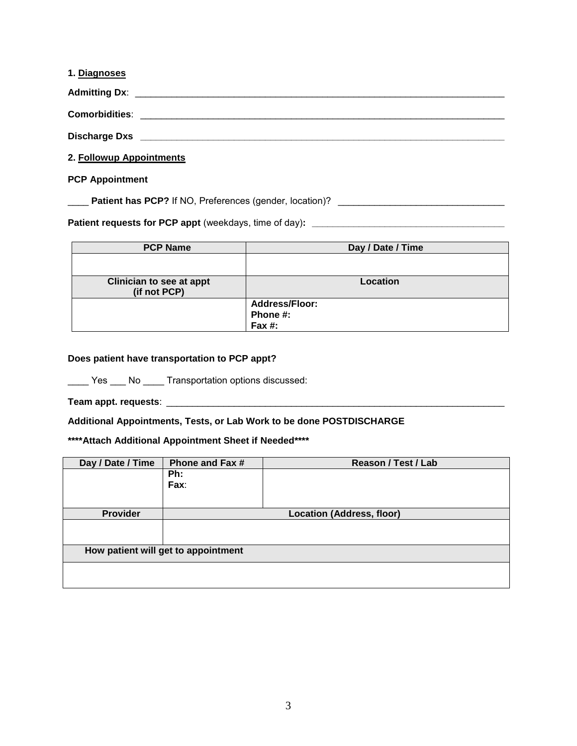| 1. Diagnoses             |  |  |  |
|--------------------------|--|--|--|
|                          |  |  |  |
|                          |  |  |  |
|                          |  |  |  |
| 2. Followup Appointments |  |  |  |

#### **PCP Appointment**

\_\_\_\_ **Patient has PCP?** If NO, Preferences (gender, location)? \_\_\_\_\_\_\_\_\_\_\_\_\_\_\_\_\_\_\_\_\_\_\_\_\_\_\_\_\_\_\_\_

**Patient requests for PCP appt** (weekdays, time of day)**: \_\_\_\_\_\_\_\_\_\_\_\_\_\_\_\_\_\_\_\_\_\_\_\_\_\_\_\_\_\_\_\_\_\_\_\_\_** 

| <b>PCP Name</b>                 | Day / Date / Time     |
|---------------------------------|-----------------------|
|                                 |                       |
|                                 |                       |
| <b>Clinician to see at appt</b> | Location              |
| (if not PCP)                    |                       |
|                                 | <b>Address/Floor:</b> |
|                                 | Phone #:              |
|                                 | Fax $#$ :             |

#### **Does patient have transportation to PCP appt?**

\_\_\_\_ Yes \_\_\_ No \_\_\_\_ Transportation options discussed:

**Team appt. requests**: \_\_\_\_\_\_\_\_\_\_\_\_\_\_\_\_\_\_\_\_\_\_\_\_\_\_\_\_\_\_\_\_\_\_\_\_\_\_\_\_\_\_\_\_\_\_\_\_\_\_\_\_\_\_\_\_\_\_\_\_\_\_\_\_\_

**Additional Appointments, Tests, or Lab Work to be done POSTDISCHARGE** 

**\*\*\*\*Attach Additional Appointment Sheet if Needed\*\*\*\*** 

| Day / Date / Time                   | <b>Phone and Fax #</b> | Reason / Test / Lab              |  |
|-------------------------------------|------------------------|----------------------------------|--|
|                                     | Ph:                    |                                  |  |
|                                     | Fax:                   |                                  |  |
|                                     |                        |                                  |  |
| <b>Provider</b>                     |                        | <b>Location (Address, floor)</b> |  |
|                                     |                        |                                  |  |
|                                     |                        |                                  |  |
| How patient will get to appointment |                        |                                  |  |
|                                     |                        |                                  |  |
|                                     |                        |                                  |  |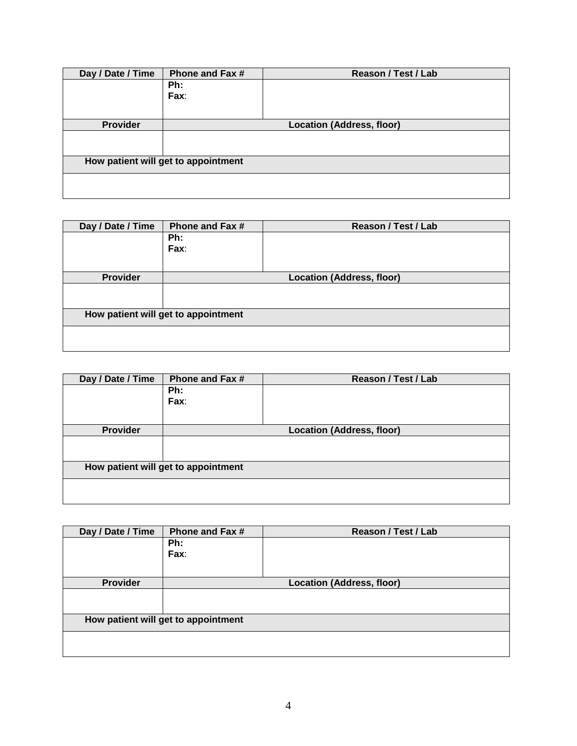| Day / Date / Time | Phone and Fax #<br>Reason / Test / Lab |  |  |  |  |
|-------------------|----------------------------------------|--|--|--|--|
|                   | Ph:                                    |  |  |  |  |
|                   | Fax:                                   |  |  |  |  |
|                   |                                        |  |  |  |  |
| <b>Provider</b>   | Location (Address, floor)              |  |  |  |  |
|                   |                                        |  |  |  |  |
|                   |                                        |  |  |  |  |
|                   | How patient will get to appointment    |  |  |  |  |
|                   |                                        |  |  |  |  |
|                   |                                        |  |  |  |  |
|                   |                                        |  |  |  |  |

| Day / Date / Time | Phone and Fax #                     | Reason / Test / Lab |  |  |  |
|-------------------|-------------------------------------|---------------------|--|--|--|
|                   | Ph:                                 |                     |  |  |  |
|                   | Fax:                                |                     |  |  |  |
|                   |                                     |                     |  |  |  |
| <b>Provider</b>   | <b>Location (Address, floor)</b>    |                     |  |  |  |
|                   |                                     |                     |  |  |  |
|                   |                                     |                     |  |  |  |
|                   | How patient will get to appointment |                     |  |  |  |
|                   |                                     |                     |  |  |  |
|                   |                                     |                     |  |  |  |
|                   |                                     |                     |  |  |  |

| Day / Date / Time                   | <b>Phone and Fax #</b> | Reason / Test / Lab              |  |  |
|-------------------------------------|------------------------|----------------------------------|--|--|
|                                     | Ph:                    |                                  |  |  |
|                                     | Fax:                   |                                  |  |  |
|                                     |                        |                                  |  |  |
| <b>Provider</b>                     |                        | <b>Location (Address, floor)</b> |  |  |
|                                     |                        |                                  |  |  |
|                                     |                        |                                  |  |  |
| How patient will get to appointment |                        |                                  |  |  |
|                                     |                        |                                  |  |  |
|                                     |                        |                                  |  |  |

| Day / Date / Time                   | <b>Phone and Fax #</b>           | Reason / Test / Lab |  |  |
|-------------------------------------|----------------------------------|---------------------|--|--|
|                                     | Ph:                              |                     |  |  |
|                                     | Fax:                             |                     |  |  |
|                                     |                                  |                     |  |  |
| <b>Provider</b>                     | <b>Location (Address, floor)</b> |                     |  |  |
|                                     |                                  |                     |  |  |
|                                     |                                  |                     |  |  |
| How patient will get to appointment |                                  |                     |  |  |
|                                     |                                  |                     |  |  |
|                                     |                                  |                     |  |  |
|                                     |                                  |                     |  |  |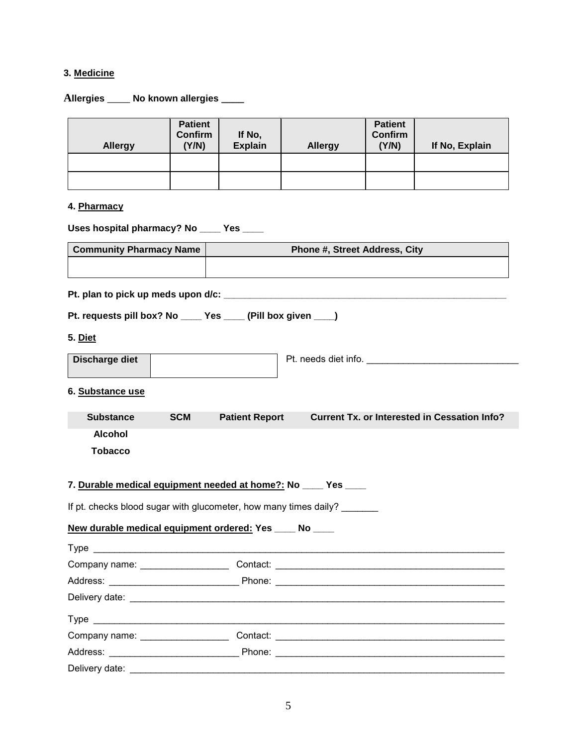### **3. Medicine**

**Allergies** \_\_\_\_ **No known allergies \_\_\_\_** 

| <b>Allergy</b>                                                                                                                                                                                                                 | <b>Patient</b><br><b>Confirm</b><br>(Y/N) | If No,<br><b>Explain</b> | <b>Allergy</b>                | <b>Patient</b><br>Confirm<br>(Y/N) | If No, Explain                                      |
|--------------------------------------------------------------------------------------------------------------------------------------------------------------------------------------------------------------------------------|-------------------------------------------|--------------------------|-------------------------------|------------------------------------|-----------------------------------------------------|
|                                                                                                                                                                                                                                |                                           |                          |                               |                                    |                                                     |
| 4. Pharmacy                                                                                                                                                                                                                    |                                           |                          |                               |                                    |                                                     |
|                                                                                                                                                                                                                                |                                           |                          |                               |                                    |                                                     |
| Uses hospital pharmacy? No ____ Yes ____                                                                                                                                                                                       |                                           |                          |                               |                                    |                                                     |
| <b>Community Pharmacy Name</b>                                                                                                                                                                                                 |                                           |                          | Phone #, Street Address, City |                                    |                                                     |
|                                                                                                                                                                                                                                |                                           |                          |                               |                                    |                                                     |
|                                                                                                                                                                                                                                |                                           |                          |                               |                                    |                                                     |
| Pt. requests pill box? No _____ Yes _____ (Pill box given ____)                                                                                                                                                                |                                           |                          |                               |                                    |                                                     |
|                                                                                                                                                                                                                                |                                           |                          |                               |                                    |                                                     |
| 5. Diet                                                                                                                                                                                                                        |                                           |                          |                               |                                    |                                                     |
| Discharge diet                                                                                                                                                                                                                 |                                           |                          | Pt. needs diet info.          |                                    |                                                     |
|                                                                                                                                                                                                                                |                                           |                          |                               |                                    |                                                     |
| 6. Substance use                                                                                                                                                                                                               |                                           |                          |                               |                                    |                                                     |
| <b>Substance</b>                                                                                                                                                                                                               | <b>SCM</b>                                | <b>Patient Report</b>    |                               |                                    | <b>Current Tx. or Interested in Cessation Info?</b> |
| <b>Alcohol</b>                                                                                                                                                                                                                 |                                           |                          |                               |                                    |                                                     |
| <b>Tobacco</b>                                                                                                                                                                                                                 |                                           |                          |                               |                                    |                                                     |
|                                                                                                                                                                                                                                |                                           |                          |                               |                                    |                                                     |
| 7. Durable medical equipment needed at home?: No ____ Yes ____                                                                                                                                                                 |                                           |                          |                               |                                    |                                                     |
| If pt. checks blood sugar with glucometer, how many times daily?                                                                                                                                                               |                                           |                          |                               |                                    |                                                     |
| New durable medical equipment ordered: Yes ____ No ____                                                                                                                                                                        |                                           |                          |                               |                                    |                                                     |
|                                                                                                                                                                                                                                |                                           |                          |                               |                                    |                                                     |
|                                                                                                                                                                                                                                |                                           |                          |                               |                                    |                                                     |
|                                                                                                                                                                                                                                |                                           |                          |                               |                                    |                                                     |
|                                                                                                                                                                                                                                |                                           |                          |                               |                                    |                                                     |
|                                                                                                                                                                                                                                |                                           |                          |                               |                                    |                                                     |
|                                                                                                                                                                                                                                |                                           |                          |                               |                                    |                                                     |
| Type experience and the state of the state of the state of the state of the state of the state of the state of the state of the state of the state of the state of the state of the state of the state of the state of the sta |                                           |                          |                               |                                    |                                                     |
|                                                                                                                                                                                                                                |                                           |                          |                               |                                    |                                                     |